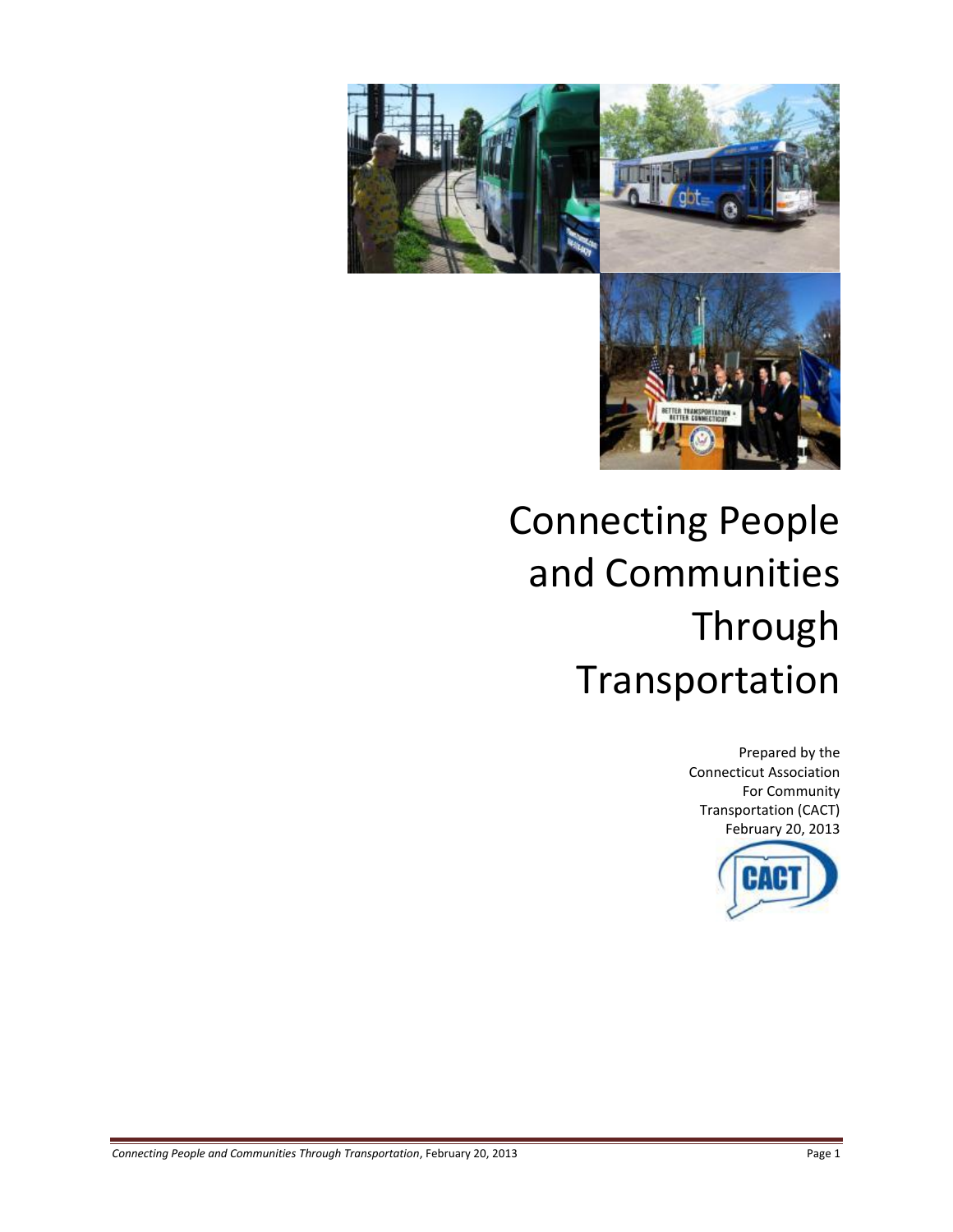

# Connecting People and Communities Through Transportation

Prepared by the Connecticut Association For Community Transportation (CACT) February 20, 2013

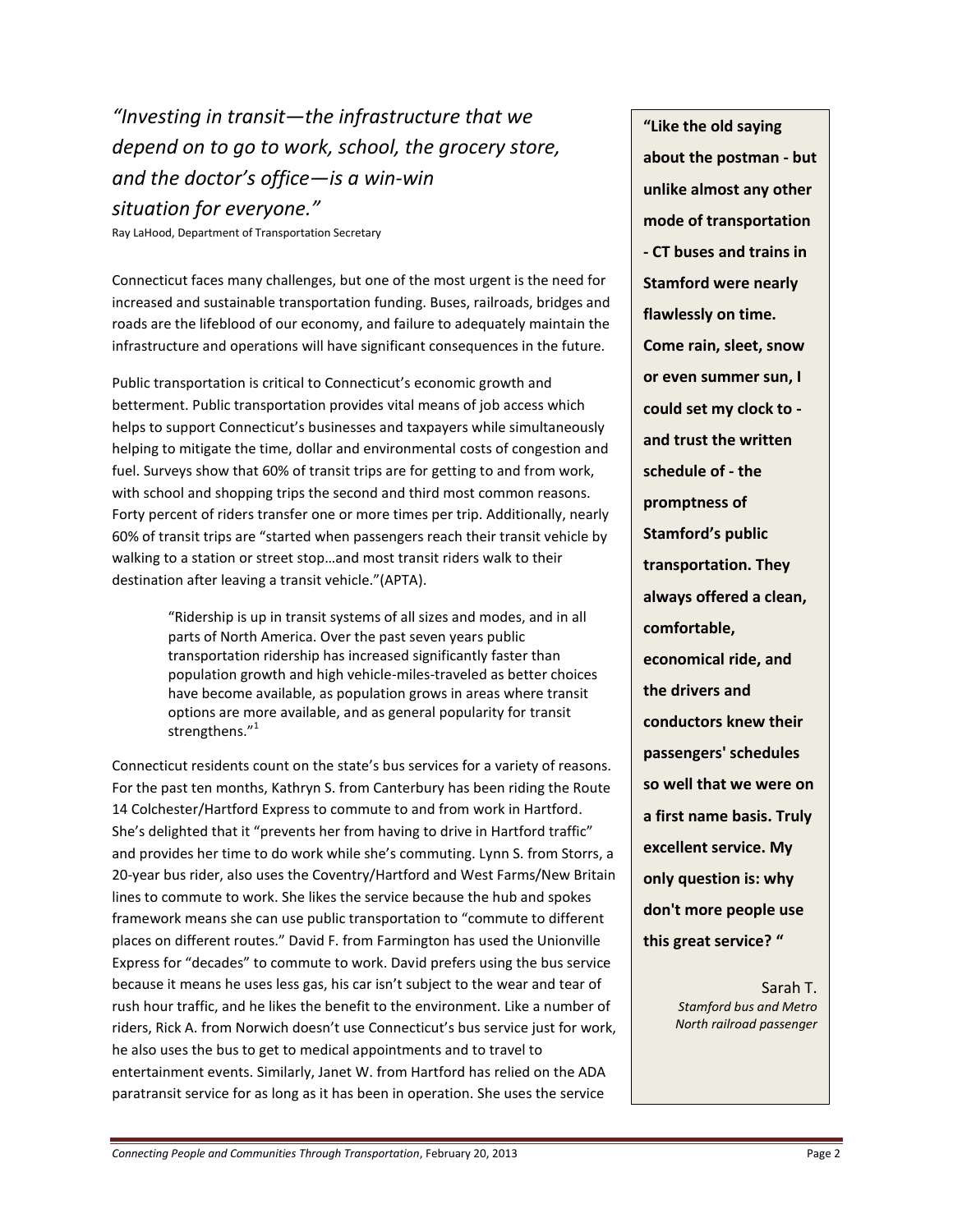*"Investing in transit—the infrastructure that we depend on to go to work, school, the grocery store, and the doctor's office—is a win-win situation for everyone."*

Ray LaHood, Department of Transportation Secretary

Connecticut faces many challenges, but one of the most urgent is the need for increased and sustainable transportation funding. Buses, railroads, bridges and roads are the lifeblood of our economy, and failure to adequately maintain the infrastructure and operations will have significant consequences in the future.

Public transportation is critical to Connecticut's economic growth and betterment. Public transportation provides vital means of job access which helps to support Connecticut's businesses and taxpayers while simultaneously helping to mitigate the time, dollar and environmental costs of congestion and fuel. Surveys show that 60% of transit trips are for getting to and from work, with school and shopping trips the second and third most common reasons. Forty percent of riders transfer one or more times per trip. Additionally, nearly 60% of transit trips are "started when passengers reach their transit vehicle by walking to a station or street stop…and most transit riders walk to their destination after leaving a transit vehicle."(APTA).

> "Ridership is up in transit systems of all sizes and modes, and in all parts of North America. Over the past seven years public transportation ridership has increased significantly faster than population growth and high vehicle-miles-traveled as better choices have become available, as population grows in areas where transit options are more available, and as general popularity for transit strengthens. $^{\prime\prime}{}^{1}$

Connecticut residents count on the state's bus services for a variety of reasons. For the past ten months, Kathryn S. from Canterbury has been riding the Route 14 Colchester/Hartford Express to commute to and from work in Hartford. She's delighted that it "prevents her from having to drive in Hartford traffic" and provides her time to do work while she's commuting. Lynn S. from Storrs, a 20-year bus rider, also uses the Coventry/Hartford and West Farms/New Britain lines to commute to work. She likes the service because the hub and spokes framework means she can use public transportation to "commute to different places on different routes." David F. from Farmington has used the Unionville Express for "decades" to commute to work. David prefers using the bus service because it means he uses less gas, his car isn't subject to the wear and tear of rush hour traffic, and he likes the benefit to the environment. Like a number of riders, Rick A. from Norwich doesn't use Connecticut's bus service just for work, he also uses the bus to get to medical appointments and to travel to entertainment events. Similarly, Janet W. from Hartford has relied on the ADA paratransit service for as long as it has been in operation. She uses the service

**"Like the old saying about the postman - but unlike almost any other mode of transportation - CT buses and trains in Stamford were nearly flawlessly on time. Come rain, sleet, snow or even summer sun, I could set my clock to and trust the written schedule of - the promptness of Stamford's public transportation. They always offered a clean, comfortable, economical ride, and the drivers and conductors knew their passengers' schedules so well that we were on a first name basis. Truly excellent service. My only question is: why don't more people use this great service? "**

> Sarah T. *Stamford bus and Metro North railroad passenger*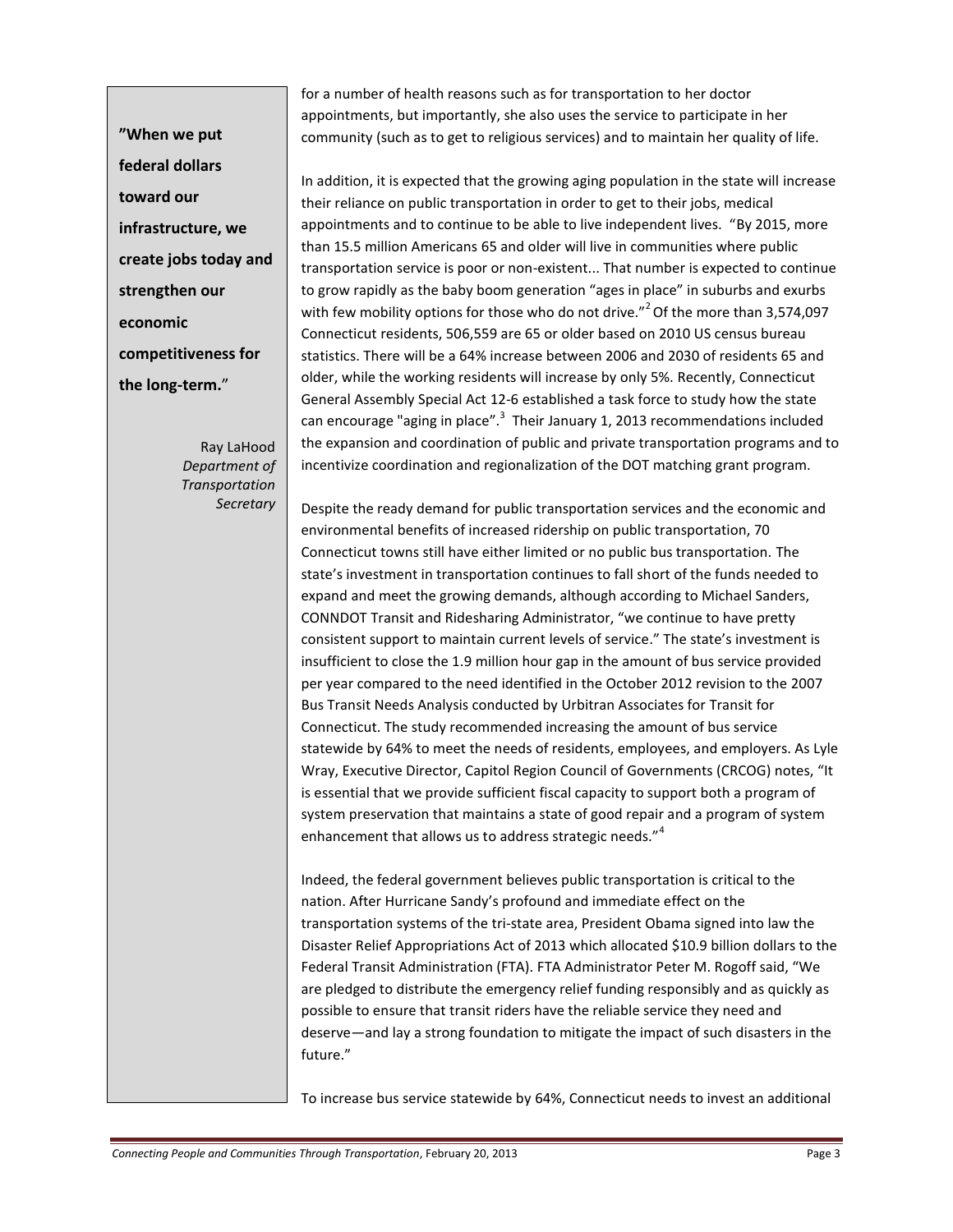**"When we put federal dollars toward our infrastructure, we create jobs today and strengthen our economic competitiveness for the long-term.**"

> Ray LaHood *Department of Transportation Secretary*

for a number of health reasons such as for transportation to her doctor appointments, but importantly, she also uses the service to participate in her community (such as to get to religious services) and to maintain her quality of life.

In addition, it is expected that the growing aging population in the state will increase their reliance on public transportation in order to get to their jobs, medical appointments and to continue to be able to live independent lives. "By 2015, more than 15.5 million Americans 65 and older will live in communities where public transportation service is poor or non-existent... That number is expected to continue to grow rapidly as the baby boom generation "ages in place" in suburbs and exurbs with few mobility options for those who do not drive."<sup>2</sup> Of the more than 3,574,097 Connecticut residents, 506,559 are 65 or older based on 2010 US census bureau statistics. There will be a 64% increase between 2006 and 2030 of residents 65 and older, while the working residents will increase by only 5%. Recently, Connecticut General Assembl[y Special Act 12-6 e](http://www.cga.ct.gov/2012/ACT/SA/2012SA-00006-R00SB-00138-SA.htm)stablished a task force to study how the state can encourage "aging in place". $3$  Their January 1, 2013 recommendations included the expansion and coordination of public and private transportation programs and to incentivize coordination and regionalization of the DOT matching grant program.

Despite the ready demand for public transportation services and the economic and environmental benefits of increased ridership on public transportation, 70 Connecticut towns still have either limited or no public bus transportation. The state's investment in transportation continues to fall short of the funds needed to expand and meet the growing demands, although according to Michael Sanders, CONNDOT Transit and Ridesharing Administrator, "we continue to have pretty consistent support to maintain current levels of service." The state's investment is insufficient to close the 1.9 million hour gap in the amount of bus service provided per year compared to the need identified in the October 2012 revision to the 2007 Bus Transit Needs Analysis conducted by Urbitran Associates for Transit for Connecticut. The study recommended increasing the amount of bus service statewide by 64% to meet the needs of residents, employees, and employers. As Lyle Wray, Executive Director, Capitol Region Council of Governments (CRCOG) notes, "It is essential that we provide sufficient fiscal capacity to support both a program of system preservation that maintains a state of good repair and a program of system enhancement that allows us to address strategic needs."<sup>4</sup>

Indeed, the federal government believes public transportation is critical to the nation. After Hurricane Sandy's profound and immediate effect on the transportation systems of the tri-state area, President Obama signed into law the Disaster Relief Appropriations Act of 2013 which allocated \$10.9 billion dollars to the Federal Transit Administration (FTA). FTA Administrator Peter M. Rogoff said, "We are pledged to distribute the emergency relief funding responsibly and as quickly as possible to ensure that transit riders have the reliable service they need and deserve—and lay a strong foundation to mitigate the impact of such disasters in the future."

To increase bus service statewide by 64%, Connecticut needs to invest an additional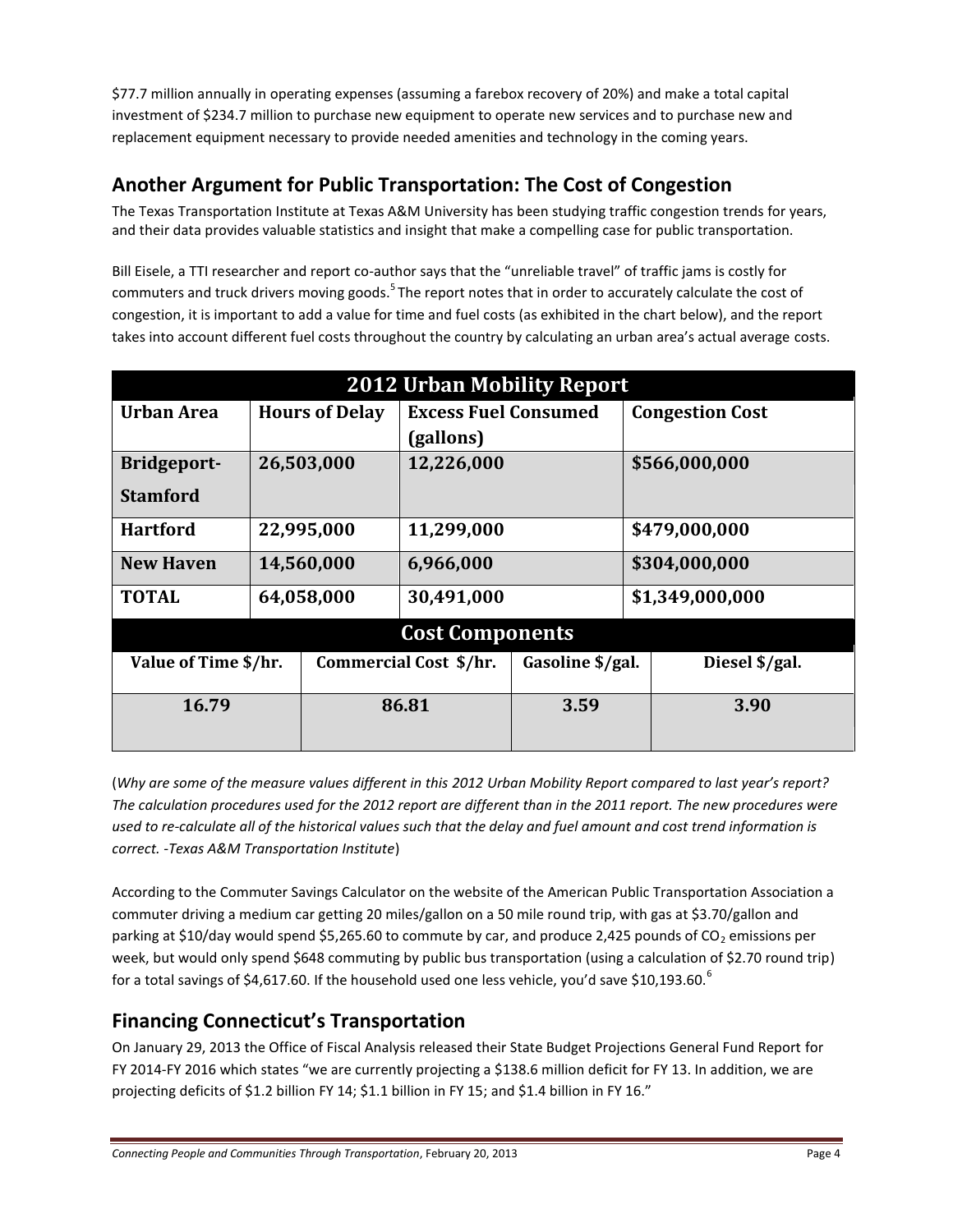\$77.7 million annually in operating expenses (assuming a farebox recovery of 20%) and make a total capital investment of \$234.7 million to purchase new equipment to operate new services and to purchase new and replacement equipment necessary to provide needed amenities and technology in the coming years.

# **Another Argument for Public Transportation: The Cost of Congestion**

The Texas Transportation Institute at Texas A&M University has been studying traffic congestion trends for years, and their data provides valuable statistics and insight that make a compelling case for public transportation.

Bill Eisele, a TTI researcher and report co-author says that the "unreliable travel" of traffic jams is costly for commuters and truck drivers moving goods.<sup>5</sup> The report notes that in order to accurately calculate the cost of congestion, it is important to add a value for time and fuel costs (as exhibited in the chart below), and the report takes into account different fuel costs throughout the country by calculating an urban area's actual average costs.

| <b>2012 Urban Mobility Report</b> |                       |                        |                             |                  |                        |                |
|-----------------------------------|-----------------------|------------------------|-----------------------------|------------------|------------------------|----------------|
| <b>Urban Area</b>                 | <b>Hours of Delay</b> |                        | <b>Excess Fuel Consumed</b> |                  | <b>Congestion Cost</b> |                |
|                                   |                       |                        | (gallons)                   |                  |                        |                |
| <b>Bridgeport-</b>                | 26,503,000            |                        | 12,226,000                  |                  | \$566,000,000          |                |
| <b>Stamford</b>                   |                       |                        |                             |                  |                        |                |
| <b>Hartford</b>                   | 22,995,000            |                        | 11,299,000                  |                  | \$479,000,000          |                |
| <b>New Haven</b>                  | 14,560,000            |                        | 6,966,000                   |                  | \$304,000,000          |                |
| <b>TOTAL</b>                      | 64,058,000            |                        | 30,491,000                  |                  | \$1,349,000,000        |                |
| <b>Cost Components</b>            |                       |                        |                             |                  |                        |                |
| Value of Time \$/hr.              |                       | Commercial Cost \$/hr. |                             | Gasoline \$/gal. |                        | Diesel \$/gal. |
| 16.79                             |                       | 86.81                  |                             | 3.59             |                        | 3.90           |
|                                   |                       |                        |                             |                  |                        |                |

(*Why are some of the measure values different in this 2012 Urban Mobility Report compared to last year's report? The calculation procedures used for the 2012 report are different than in the 2011 report. The new procedures were used to re-calculate all of the historical values such that the delay and fuel amount and cost trend information is correct. -Texas A&M Transportation Institute*)

According to the Commuter Savings Calculator on the website of the American Public Transportation Association a commuter driving a medium car getting 20 miles/gallon on a 50 mile round trip, with gas at \$3.70/gallon and parking at \$10/day would spend \$5,265.60 to commute by car, and produce 2,425 pounds of CO<sub>2</sub> emissions per week, but would only spend \$648 commuting by public bus transportation (using a calculation of \$2.70 round trip) for a total savings of \$4,617.60. If the household used one less vehicle, you'd save \$10,193.60.<sup>6</sup>

# **Financing Connecticut's Transportation**

On January 29, 2013 the Office of Fiscal Analysis released their State Budget Projections General Fund Report for FY 2014-FY 2016 which states "we are currently projecting a \$138.6 million deficit for FY 13. In addition, we are projecting deficits of \$1.2 billion FY 14; \$1.1 billion in FY 15; and \$1.4 billion in FY 16."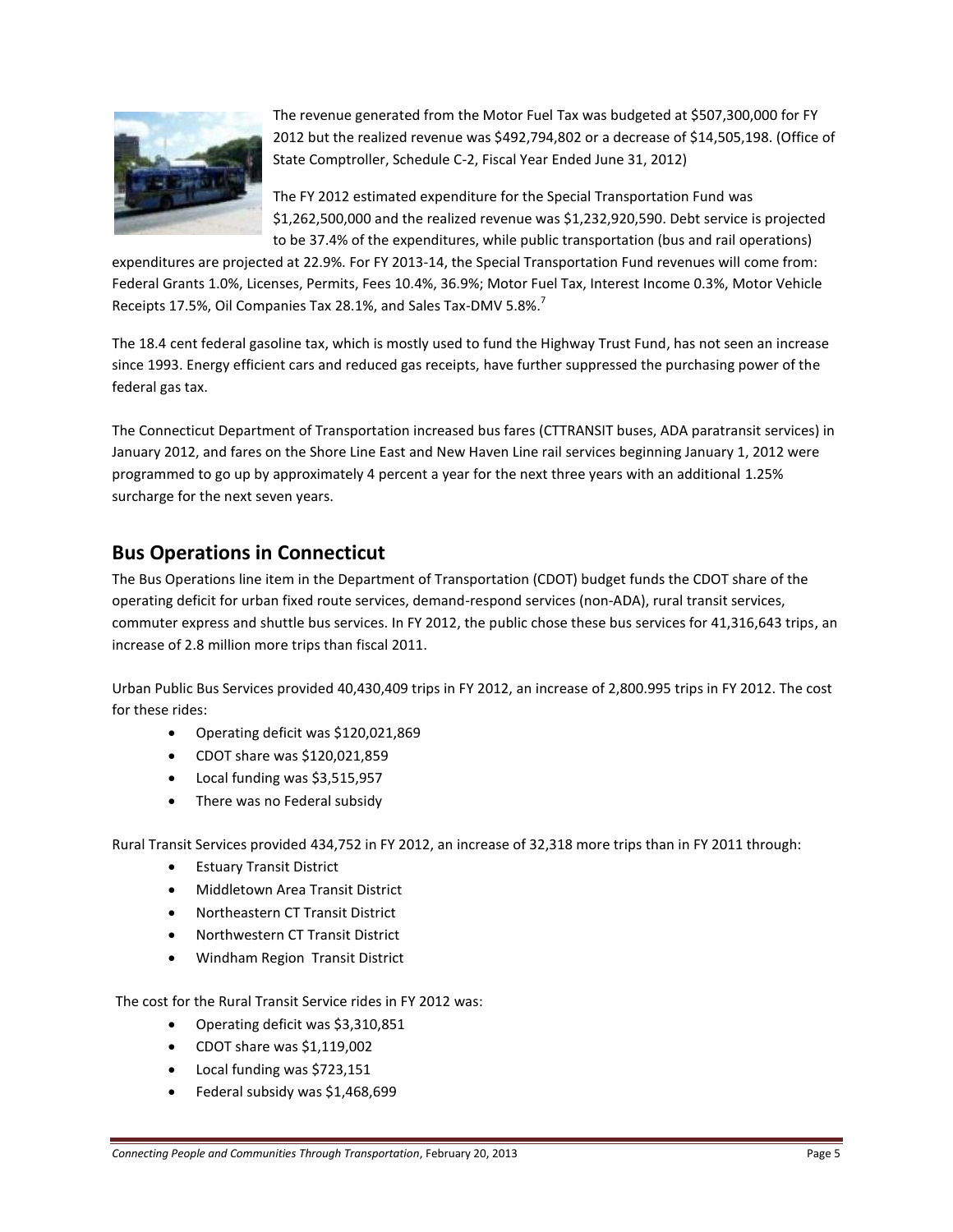

The revenue generated from the Motor Fuel Tax was budgeted at \$507,300,000 for FY 2012 but the realized revenue was \$492,794,802 or a decrease of \$14,505,198. (Office of State Comptroller, Schedule C-2, Fiscal Year Ended June 31, 2012)

The FY 2012 estimated expenditure for the Special Transportation Fund was \$1,262,500,000 and the realized revenue was \$1,232,920,590. Debt service is projected to be 37.4% of the expenditures, while public transportation (bus and rail operations)

expenditures are projected at 22.9%. For FY 2013-14, the Special Transportation Fund revenues will come from: Federal Grants 1.0%, Licenses, Permits, Fees 10.4%, 36.9%; Motor Fuel Tax, Interest Income 0.3%, Motor Vehicle Receipts 17.5%, Oil Companies Tax 28.1%, and Sales Tax-DMV 5.8%.<sup>7</sup>

The 18.4 cent federal gasoline tax, which is mostly used to fund the Highway Trust Fund, has not seen an increase since 1993. Energy efficient cars and reduced gas receipts, have further suppressed the purchasing power of the federal gas tax.

The Connecticut Department of Transportation increased bus fares (CTTRANSIT buses, ADA paratransit services) in January 2012, and fares on the Shore Line East and New Haven Line rail services beginning January 1, 2012 were programmed to go up by approximately 4 percent a year for the next three years with an additional 1.25% surcharge for the next seven years.

## **Bus Operations in Connecticut**

The Bus Operations line item in the Department of Transportation (CDOT) budget funds the CDOT share of the operating deficit for urban fixed route services, demand-respond services (non-ADA), rural transit services, commuter express and shuttle bus services. In FY 2012, the public chose these bus services for 41,316,643 trips, an increase of 2.8 million more trips than fiscal 2011.

Urban Public Bus Services provided 40,430,409 trips in FY 2012, an increase of 2,800.995 trips in FY 2012. The cost for these rides:

- Operating deficit was \$120,021,869
- CDOT share was \$120,021,859
- Local funding was \$3,515,957
- There was no Federal subsidy

Rural Transit Services provided 434,752 in FY 2012, an increase of 32,318 more trips than in FY 2011 through:

- **•** Estuary Transit District
- Middletown Area Transit District
- Northeastern CT Transit District
- Northwestern CT Transit District
- Windham Region Transit District

The cost for the Rural Transit Service rides in FY 2012 was:

- Operating deficit was \$3,310,851
- CDOT share was \$1,119,002
- Local funding was \$723,151
- Federal subsidy was \$1,468,699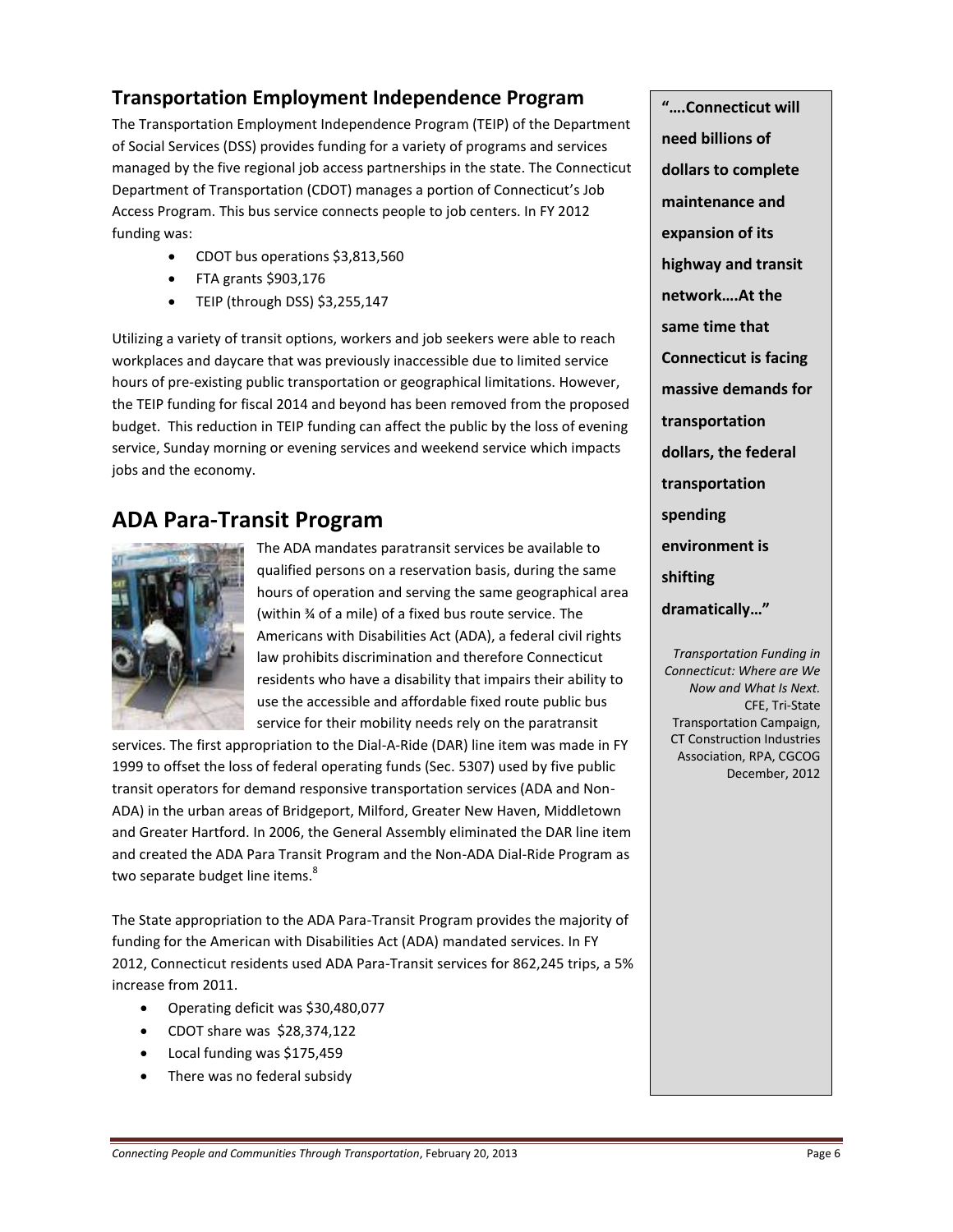## **Transportation Employment Independence Program**

The Transportation Employment Independence Program (TEIP) of the Department of Social Services (DSS) provides funding for a variety of programs and services managed by the five regional job access partnerships in the state. The Connecticut Department of Transportation (CDOT) manages a portion of Connecticut's Job Access Program. This bus service connects people to job centers. In FY 2012 funding was:

- CDOT bus operations \$3,813,560
- FTA grants \$903,176
- TEIP (through DSS) \$3,255,147

Utilizing a variety of transit options, workers and job seekers were able to reach workplaces and daycare that was previously inaccessible due to limited service hours of pre-existing public transportation or geographical limitations. However, the TEIP funding for fiscal 2014 and beyond has been removed from the proposed budget. This reduction in TEIP funding can affect the public by the loss of evening service, Sunday morning or evening services and weekend service which impacts jobs and the economy.

# **ADA Para-Transit Program**



The ADA mandates paratransit services be available to qualified persons on a reservation basis, during the same hours of operation and serving the same geographical area (within ¾ of a mile) of a fixed bus route service. The Americans with Disabilities Act (ADA), a federal civil rights law prohibits discrimination and therefore Connecticut residents who have a disability that impairs their ability to use the accessible and affordable fixed route public bus service for their mobility needs rely on the paratransit

services. The first appropriation to the Dial-A-Ride (DAR) line item was made in FY 1999 to offset the loss of federal operating funds (Sec. 5307) used by five public transit operators for demand responsive transportation services (ADA and Non-ADA) in the urban areas of Bridgeport, Milford, Greater New Haven, Middletown and Greater Hartford. In 2006, the General Assembly eliminated the DAR line item and created the ADA Para Transit Program and the Non-ADA Dial-Ride Program as two separate budget line items.<sup>8</sup>

The State appropriation to the ADA Para-Transit Program provides the majority of funding for the American with Disabilities Act (ADA) mandated services. In FY 2012, Connecticut residents used ADA Para-Transit services for 862,245 trips, a 5% increase from 2011.

- Operating deficit was \$30,480,077
- CDOT share was \$28,374,122
- Local funding was \$175,459
- There was no federal subsidy

**"….Connecticut will need billions of dollars to complete maintenance and expansion of its highway and transit network….At the same time that Connecticut is facing massive demands for transportation dollars, the federal transportation spending environment is shifting dramatically…"**

*Transportation Funding in Connecticut: Where are We Now and What Is Next.* CFE, Tri-State Transportation Campaign, CT Construction Industries Association, RPA, CGCOG December, 2012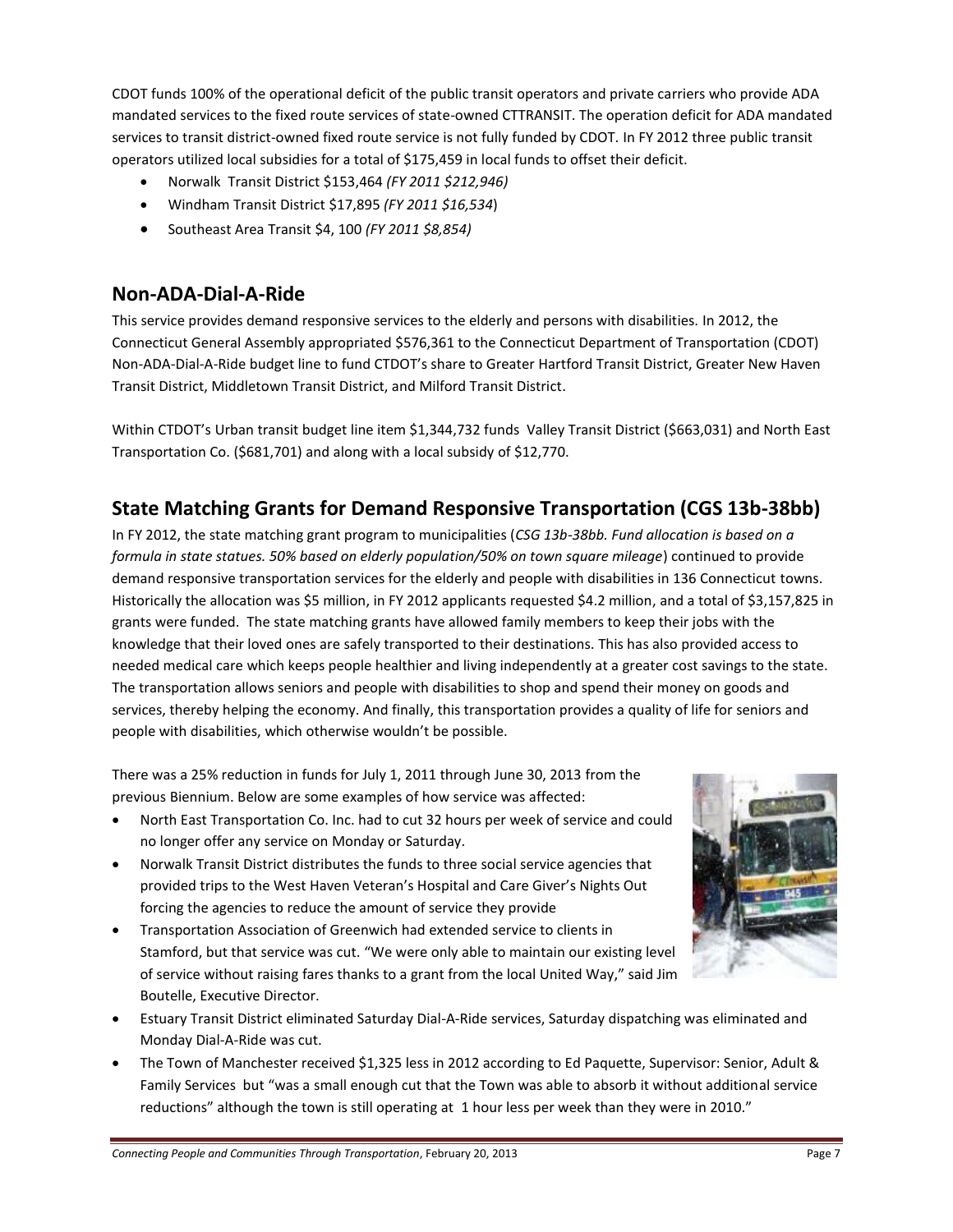CDOT funds 100% of the operational deficit of the public transit operators and private carriers who provide ADA mandated services to the fixed route services of state-owned CTTRANSIT. The operation deficit for ADA mandated services to transit district-owned fixed route service is not fully funded by CDOT. In FY 2012 three public transit operators utilized local subsidies for a total of \$175,459 in local funds to offset their deficit.

- Norwalk Transit District \$153,464 *(FY 2011 \$212,946)*
- Windham Transit District \$17,895 *(FY 2011 \$16,534*)
- Southeast Area Transit \$4, 100 *(FY 2011 \$8,854)*

#### **Non-ADA-Dial-A-Ride**

This service provides demand responsive services to the elderly and persons with disabilities. In 2012, the Connecticut General Assembly appropriated \$576,361 to the Connecticut Department of Transportation (CDOT) Non-ADA-Dial-A-Ride budget line to fund CTDOT's share to Greater Hartford Transit District, Greater New Haven Transit District, Middletown Transit District, and Milford Transit District.

Within CTDOT's Urban transit budget line item \$1,344,732 funds Valley Transit District (\$663,031) and North East Transportation Co. (\$681,701) and along with a local subsidy of \$12,770.

## **State Matching Grants for Demand Responsive Transportation (CGS 13b-38bb)**

In FY 2012, the state matching grant program to municipalities (*CSG 13b-38bb. Fund allocation is based on a formula in state statues. 50% based on elderly population/50% on town square mileage*) continued to provide demand responsive transportation services for the elderly and people with disabilities in 136 Connecticut towns. Historically the allocation was \$5 million, in FY 2012 applicants requested \$4.2 million, and a total of \$3,157,825 in grants were funded. The state matching grants have allowed family members to keep their jobs with the knowledge that their loved ones are safely transported to their destinations. This has also provided access to needed medical care which keeps people healthier and living independently at a greater cost savings to the state. The transportation allows seniors and people with disabilities to shop and spend their money on goods and services, thereby helping the economy. And finally, this transportation provides a quality of life for seniors and people with disabilities, which otherwise wouldn't be possible.

There was a 25% reduction in funds for July 1, 2011 through June 30, 2013 from the previous Biennium. Below are some examples of how service was affected:

- North East Transportation Co. Inc. had to cut 32 hours per week of service and could no longer offer any service on Monday or Saturday.
- Norwalk Transit District distributes the funds to three social service agencies that provided trips to the West Haven Veteran's Hospital and Care Giver's Nights Out forcing the agencies to reduce the amount of service they provide
- Transportation Association of Greenwich had extended service to clients in Stamford, but that service was cut. "We were only able to maintain our existing level of service without raising fares thanks to a grant from the local United Way," said Jim Boutelle, Executive Director.
- Estuary Transit District eliminated Saturday Dial-A-Ride services, Saturday dispatching was eliminated and Monday Dial-A-Ride was cut.
- The Town of Manchester received \$1,325 less in 2012 according to Ed Paquette, Supervisor: Senior, Adult & Family Services but "was a small enough cut that the Town was able to absorb it without additional service reductions" although the town is still operating at 1 hour less per week than they were in 2010."

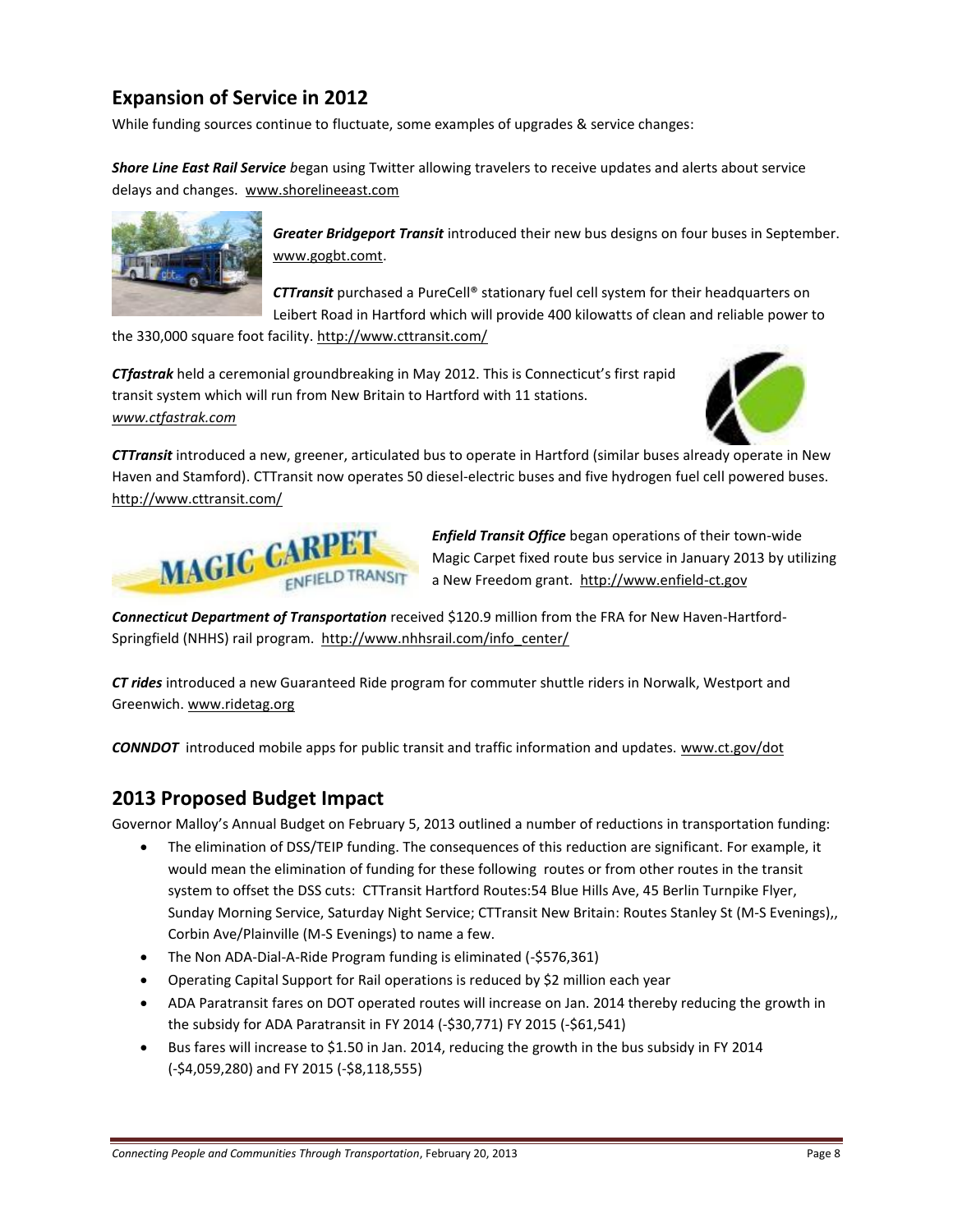# **Expansion of Service in 2012**

While funding sources continue to fluctuate, some examples of upgrades & service changes:

*Shore Line East Rail Service b*egan using Twitter allowing travelers to receive updates and alerts about service delays and changes. [www.shorelineeast.com](http://www.shorelineeast.com/)



*Greater Bridgeport Transit* introduced their new bus designs on four buses in September. [www.gogbt.comt.](http://www.gogbt.comt/)

*CTTransit* purchased a PureCell® stationary fuel cell system for their headquarters on Leibert Road in Hartford which will provide 400 kilowatts of clean and reliable power to

the 330,000 square foot facility.<http://www.cttransit.com/>

*CTfastrak* held a ceremonial groundbreaking in May 2012. This is Connecticut's first rapid transit system which will run from New Britain to Hartford with 11 stations. *[www.ctfastrak.com](http://www.ctfastrak.com/)*



*CTTransit* introduced a new, greener, articulated bus to operate in Hartford (similar buses already operate in New Haven and Stamford). CTTransit now operates 50 diesel-electric buses and five hydrogen fuel cell powered buses. <http://www.cttransit.com/>



*Enfield Transit Office* began operations of their town-wide Magic Carpet fixed route bus service in January 2013 by utilizing a New Freedom grant. [http://www.enfield-ct.gov](http://www.enfield-ct.gov/)

*Connecticut Department of Transportation* received \$120.9 million from the FRA for New Haven-HartfordSpringfield (NHHS) rail program. [http://www.nhhsrail.com/info\\_center/](http://www.nhhsrail.com/info_center/newsbriefs.aspx)

*CT rides* introduced a new Guaranteed Ride program for commuter shuttle riders in Norwalk, Westport and Greenwich. [www.ridetag.org](http://www.ridetag.org/)

*CONNDOT* introduced mobile apps for public transit and traffic information and updates. [www.ct.gov/dot](http://www.ct.gov/dot)

#### **2013 Proposed Budget Impact**

Governor Malloy's Annual Budget on February 5, 2013 outlined a number of reductions in transportation funding:

- The elimination of DSS/TEIP funding. The consequences of this reduction are significant. For example, it would mean the elimination of funding for these following routes or from other routes in the transit system to offset the DSS cuts: CTTransit Hartford Routes:54 Blue Hills Ave, 45 Berlin Turnpike Flyer, Sunday Morning Service, Saturday Night Service; CTTransit New Britain: Routes Stanley St (M-S Evenings),, Corbin Ave/Plainville (M-S Evenings) to name a few.
- The Non ADA-Dial-A-Ride Program funding is eliminated (-\$576,361)
- Operating Capital Support for Rail operations is reduced by \$2 million each year
- ADA Paratransit fares on DOT operated routes will increase on Jan. 2014 thereby reducing the growth in the subsidy for ADA Paratransit in FY 2014 (-\$30,771) FY 2015 (-\$61,541)
- Bus fares will increase to \$1.50 in Jan. 2014, reducing the growth in the bus subsidy in FY 2014 (-\$4,059,280) and FY 2015 (-\$8,118,555)